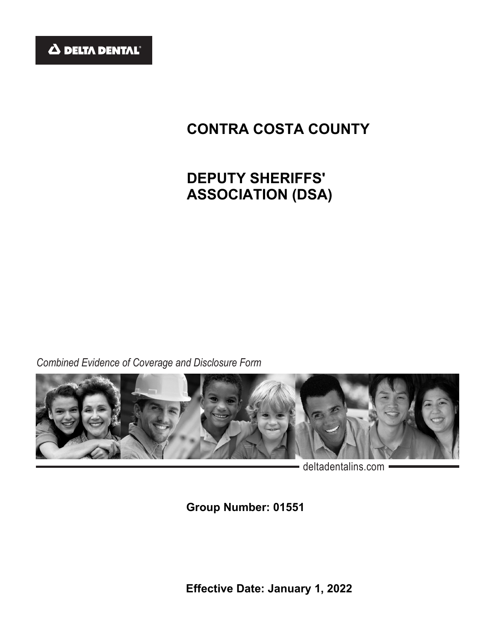

# **CONTRA COSTA COUNTY**

# **DEPUTY SHERIFFS' ASSOCIATION (DSA)**

*Combined Evidence of Coverage and Disclosure Form*



- deltadentalins.com -

**Group Number: 01551** 

**Effective Date: January 1, 2022**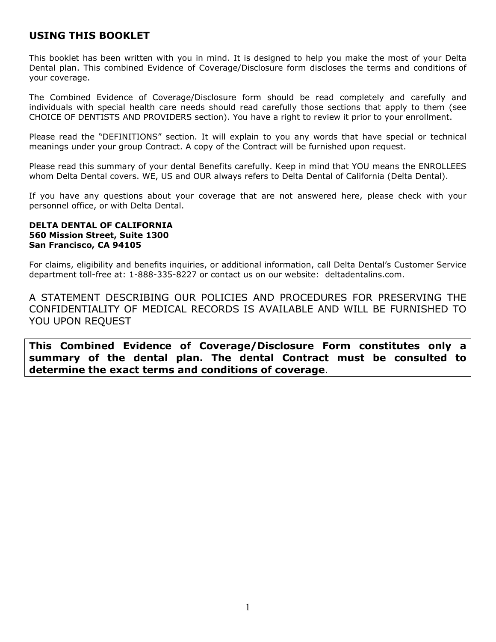# **USING THIS BOOKLET**

This booklet has been written with you in mind. It is designed to help you make the most of your Delta Dental plan. This combined Evidence of Coverage/Disclosure form discloses the terms and conditions of your coverage.

The Combined Evidence of Coverage/Disclosure form should be read completely and carefully and individuals with special health care needs should read carefully those sections that apply to them (see CHOICE OF DENTISTS AND PROVIDERS section). You have a right to review it prior to your enrollment.

Please read the "DEFINITIONS" section. It will explain to you any words that have special or technical meanings under your group Contract. A copy of the Contract will be furnished upon request.

Please read this summary of your dental Benefits carefully. Keep in mind that YOU means the ENROLLEES whom Delta Dental covers. WE, US and OUR always refers to Delta Dental of California (Delta Dental).

If you have any questions about your coverage that are not answered here, please check with your personnel office, or with Delta Dental.

#### **DELTA DENTAL OF CALIFORNIA 560 Mission Street, Suite 1300 San Francisco, CA 94105**

For claims, eligibility and benefits inquiries, or additional information, call Delta Dental's Customer Service department toll-free at: 1-888-335-8227 or contact us on our website: deltadentalins.com.

A STATEMENT DESCRIBING OUR POLICIES AND PROCEDURES FOR PRESERVING THE CONFIDENTIALITY OF MEDICAL RECORDS IS AVAILABLE AND WILL BE FURNISHED TO YOU UPON REQUEST

**This Combined Evidence of Coverage/Disclosure Form constitutes only a summary of the dental plan. The dental Contract must be consulted to determine the exact terms and conditions of coverage**.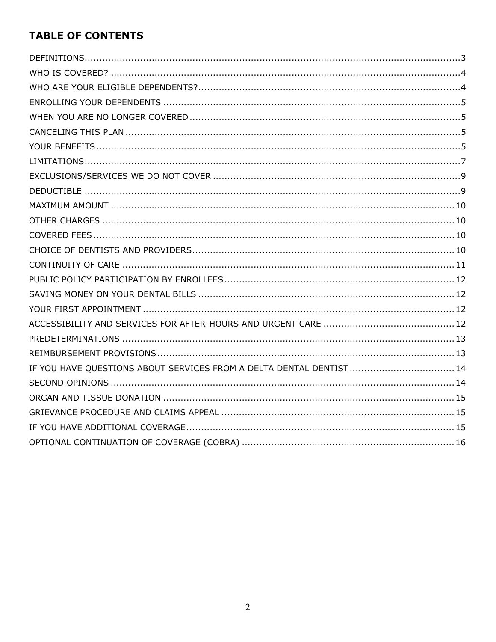# **TABLE OF CONTENTS**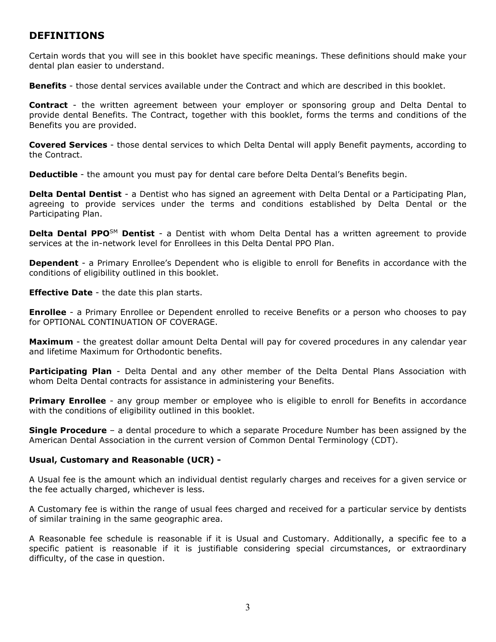# <span id="page-3-0"></span>**DEFINITIONS**

Certain words that you will see in this booklet have specific meanings. These definitions should make your dental plan easier to understand.

**Benefits** - those dental services available under the Contract and which are described in this booklet.

**Contract** - the written agreement between your employer or sponsoring group and Delta Dental to provide dental Benefits. The Contract, together with this booklet, forms the terms and conditions of the Benefits you are provided.

**Covered Services** - those dental services to which Delta Dental will apply Benefit payments, according to the Contract.

**Deductible** - the amount you must pay for dental care before Delta Dental's Benefits begin.

**Delta Dental Dentist** - a Dentist who has signed an agreement with Delta Dental or a Participating Plan, agreeing to provide services under the terms and conditions established by Delta Dental or the Participating Plan.

**Delta Dental PPO**SM **Dentist** - a Dentist with whom Delta Dental has a written agreement to provide services at the in-network level for Enrollees in this Delta Dental PPO Plan.

**Dependent** - a Primary Enrollee's Dependent who is eligible to enroll for Benefits in accordance with the conditions of eligibility outlined in this booklet.

**Effective Date** - the date this plan starts.

**Enrollee** - a Primary Enrollee or Dependent enrolled to receive Benefits or a person who chooses to pay for OPTIONAL CONTINUATION OF COVERAGE.

**Maximum** - the greatest dollar amount Delta Dental will pay for covered procedures in any calendar year and lifetime Maximum for Orthodontic benefits.

**Participating Plan** - Delta Dental and any other member of the Delta Dental Plans Association with whom Delta Dental contracts for assistance in administering your Benefits.

**Primary Enrollee** - any group member or employee who is eligible to enroll for Benefits in accordance with the conditions of eligibility outlined in this booklet.

**Single Procedure** – a dental procedure to which a separate Procedure Number has been assigned by the American Dental Association in the current version of Common Dental Terminology (CDT).

## **Usual, Customary and Reasonable (UCR) -**

A Usual fee is the amount which an individual dentist regularly charges and receives for a given service or the fee actually charged, whichever is less.

A Customary fee is within the range of usual fees charged and received for a particular service by dentists of similar training in the same geographic area.

A Reasonable fee schedule is reasonable if it is Usual and Customary. Additionally, a specific fee to a specific patient is reasonable if it is justifiable considering special circumstances, or extraordinary difficulty, of the case in question.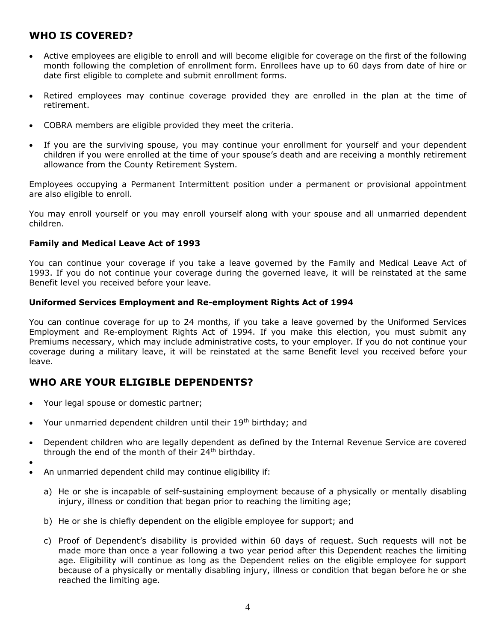# <span id="page-4-0"></span>**WHO IS COVERED?**

- Active employees are eligible to enroll and will become eligible for coverage on the first of the following month following the completion of enrollment form. Enrollees have up to 60 days from date of hire or date first eligible to complete and submit enrollment forms.
- Retired employees may continue coverage provided they are enrolled in the plan at the time of retirement.
- COBRA members are eligible provided they meet the criteria.
- If you are the surviving spouse, you may continue your enrollment for yourself and your dependent children if you were enrolled at the time of your spouse's death and are receiving a monthly retirement allowance from the County Retirement System.

Employees occupying a Permanent Intermittent position under a permanent or provisional appointment are also eligible to enroll.

You may enroll yourself or you may enroll yourself along with your spouse and all unmarried dependent children.

## **Family and Medical Leave Act of 1993**

You can continue your coverage if you take a leave governed by the Family and Medical Leave Act of 1993. If you do not continue your coverage during the governed leave, it will be reinstated at the same Benefit level you received before your leave.

#### **Uniformed Services Employment and Re-employment Rights Act of 1994**

You can continue coverage for up to 24 months, if you take a leave governed by the Uniformed Services Employment and Re-employment Rights Act of 1994. If you make this election, you must submit any Premiums necessary, which may include administrative costs, to your employer. If you do not continue your coverage during a military leave, it will be reinstated at the same Benefit level you received before your leave.

## <span id="page-4-1"></span>**WHO ARE YOUR ELIGIBLE DEPENDENTS?**

• Your legal spouse or domestic partner;

•

- Your unmarried dependent children until their 19<sup>th</sup> birthday; and
- Dependent children who are legally dependent as defined by the Internal Revenue Service are covered through the end of the month of their 24<sup>th</sup> birthday.
- An unmarried dependent child may continue eligibility if:
	- a) He or she is incapable of self-sustaining employment because of a physically or mentally disabling injury, illness or condition that began prior to reaching the limiting age;
	- b) He or she is chiefly dependent on the eligible employee for support; and
	- c) Proof of Dependent's disability is provided within 60 days of request. Such requests will not be made more than once a year following a two year period after this Dependent reaches the limiting age. Eligibility will continue as long as the Dependent relies on the eligible employee for support because of a physically or mentally disabling injury, illness or condition that began before he or she reached the limiting age.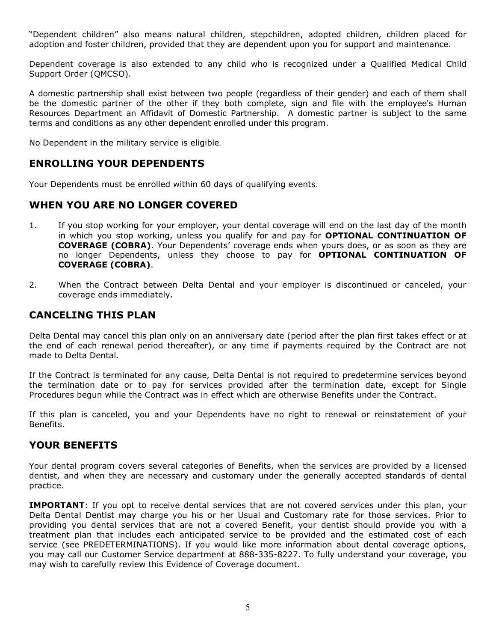"Dependent children" also means natural children, stepchildren, adopted children, children placed for adoption and foster children, provided that they are dependent upon you for support and maintenance.

Dependent coverage is also extended to any child who is recognized under a Qualified Medical Child Support Order (QMCSO).

A domestic partnership shall exist between two people (regardless of their gender) and each of them shall be the domestic partner of the other if they both complete, sign and file with the employee's Human Resources Department an Affidavit of Domestic Partnership. A domestic partner is subject to the same terms and conditions as any other dependent enrolled under this program.

No Dependent in the military service is eligible.

# <span id="page-5-0"></span>**ENROLLING YOUR DEPENDENTS**

Your Dependents must be enrolled within 60 days of qualifying events.

## <span id="page-5-1"></span>**WHEN YOU ARE NO LONGER COVERED**

- 1. If you stop working for your employer, your dental coverage will end on the last day of the month in which you stop working, unless you qualify for and pay for **OPTIONAL CONTINUATION OF COVERAGE (COBRA)**. Your Dependents' coverage ends when yours does, or as soon as they are no longer Dependents, unless they choose to pay for **OPTIONAL CONTINUATION OF COVERAGE (COBRA)**.
- 2. When the Contract between Delta Dental and your employer is discontinued or canceled, your coverage ends immediately.

## <span id="page-5-2"></span>**CANCELING THIS PLAN**

Delta Dental may cancel this plan only on an anniversary date (period after the plan first takes effect or at the end of each renewal period thereafter), or any time if payments required by the Contract are not made to Delta Dental.

If the Contract is terminated for any cause, Delta Dental is not required to predetermine services beyond the termination date or to pay for services provided after the termination date, except for Single Procedures begun while the Contract was in effect which are otherwise Benefits under the Contract.

If this plan is canceled, you and your Dependents have no right to renewal or reinstatement of your Benefits.

## <span id="page-5-3"></span>**YOUR BENEFITS**

Your dental program covers several categories of Benefits, when the services are provided by a licensed dentist, and when they are necessary and customary under the generally accepted standards of dental practice.

**IMPORTANT**: If you opt to receive dental services that are not covered services under this plan, your Delta Dental Dentist may charge you his or her Usual and Customary rate for those services. Prior to providing you dental services that are not a covered Benefit, your dentist should provide you with a treatment plan that includes each anticipated service to be provided and the estimated cost of each service (see PREDETERMINATIONS). If you would like more information about dental coverage options, you may call our Customer Service department at 888-335-8227. To fully understand your coverage, you may wish to carefully review this Evidence of Coverage document.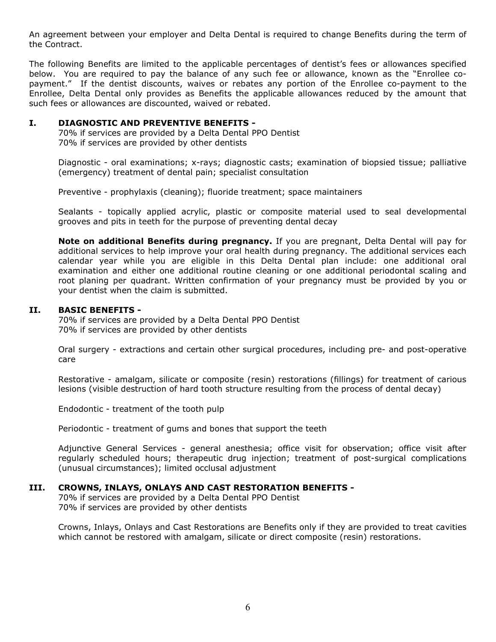An agreement between your employer and Delta Dental is required to change Benefits during the term of the Contract.

The following Benefits are limited to the applicable percentages of dentist's fees or allowances specified below. You are required to pay the balance of any such fee or allowance, known as the "Enrollee copayment." If the dentist discounts, waives or rebates any portion of the Enrollee co-payment to the Enrollee, Delta Dental only provides as Benefits the applicable allowances reduced by the amount that such fees or allowances are discounted, waived or rebated.

#### **I. DIAGNOSTIC AND PREVENTIVE BENEFITS -**

70% if services are provided by a Delta Dental PPO Dentist 70% if services are provided by other dentists

Diagnostic - oral examinations; x-rays; diagnostic casts; examination of biopsied tissue; palliative (emergency) treatment of dental pain; specialist consultation

Preventive - prophylaxis (cleaning); fluoride treatment; space maintainers

Sealants - topically applied acrylic, plastic or composite material used to seal developmental grooves and pits in teeth for the purpose of preventing dental decay

**Note on additional Benefits during pregnancy.** If you are pregnant, Delta Dental will pay for additional services to help improve your oral health during pregnancy. The additional services each calendar year while you are eligible in this Delta Dental plan include: one additional oral examination and either one additional routine cleaning or one additional periodontal scaling and root planing per quadrant. Written confirmation of your pregnancy must be provided by you or your dentist when the claim is submitted.

## **II. BASIC BENEFITS -**

70% if services are provided by a Delta Dental PPO Dentist 70% if services are provided by other dentists

Oral surgery - extractions and certain other surgical procedures, including pre- and post-operative care

Restorative - amalgam, silicate or composite (resin) restorations (fillings) for treatment of carious lesions (visible destruction of hard tooth structure resulting from the process of dental decay)

Endodontic - treatment of the tooth pulp

Periodontic - treatment of gums and bones that support the teeth

Adjunctive General Services - general anesthesia; office visit for observation; office visit after regularly scheduled hours; therapeutic drug injection; treatment of post-surgical complications (unusual circumstances); limited occlusal adjustment

## **III. CROWNS, INLAYS, ONLAYS AND CAST RESTORATION BENEFITS -**

70% if services are provided by a Delta Dental PPO Dentist 70% if services are provided by other dentists

Crowns, Inlays, Onlays and Cast Restorations are Benefits only if they are provided to treat cavities which cannot be restored with amalgam, silicate or direct composite (resin) restorations.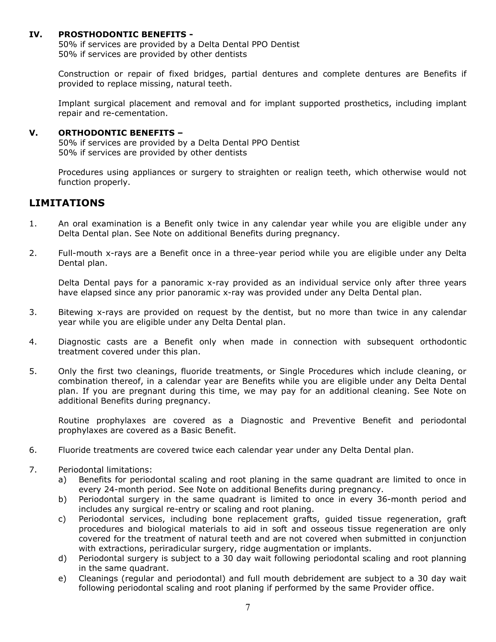#### **IV. PROSTHODONTIC BENEFITS -**

50% if services are provided by a Delta Dental PPO Dentist 50% if services are provided by other dentists

Construction or repair of fixed bridges, partial dentures and complete dentures are Benefits if provided to replace missing, natural teeth.

Implant surgical placement and removal and for implant supported prosthetics, including implant repair and re-cementation.

#### **V. ORTHODONTIC BENEFITS –**

50% if services are provided by a Delta Dental PPO Dentist 50% if services are provided by other dentists

Procedures using appliances or surgery to straighten or realign teeth, which otherwise would not function properly.

## <span id="page-7-0"></span>**LIMITATIONS**

- 1. An oral examination is a Benefit only twice in any calendar year while you are eligible under any Delta Dental plan. See Note on additional Benefits during pregnancy.
- 2. Full-mouth x-rays are a Benefit once in a three-year period while you are eligible under any Delta Dental plan.

Delta Dental pays for a panoramic x-ray provided as an individual service only after three years have elapsed since any prior panoramic x-ray was provided under any Delta Dental plan.

- 3. Bitewing x-rays are provided on request by the dentist, but no more than twice in any calendar year while you are eligible under any Delta Dental plan.
- 4. Diagnostic casts are a Benefit only when made in connection with subsequent orthodontic treatment covered under this plan.
- 5. Only the first two cleanings, fluoride treatments, or Single Procedures which include cleaning, or combination thereof, in a calendar year are Benefits while you are eligible under any Delta Dental plan. If you are pregnant during this time, we may pay for an additional cleaning. See Note on additional Benefits during pregnancy.

Routine prophylaxes are covered as a Diagnostic and Preventive Benefit and periodontal prophylaxes are covered as a Basic Benefit.

- 6. Fluoride treatments are covered twice each calendar year under any Delta Dental plan.
- 7. Periodontal limitations:
	- a) Benefits for periodontal scaling and root planing in the same quadrant are limited to once in every 24-month period. See Note on additional Benefits during pregnancy.
	- b) Periodontal surgery in the same quadrant is limited to once in every 36-month period and includes any surgical re-entry or scaling and root planing.
	- c) Periodontal services, including bone replacement grafts, guided tissue regeneration, graft procedures and biological materials to aid in soft and osseous tissue regeneration are only covered for the treatment of natural teeth and are not covered when submitted in conjunction with extractions, periradicular surgery, ridge augmentation or implants.
	- d) Periodontal surgery is subject to a 30 day wait following periodontal scaling and root planning in the same quadrant.
	- e) Cleanings (regular and periodontal) and full mouth debridement are subject to a 30 day wait following periodontal scaling and root planing if performed by the same Provider office.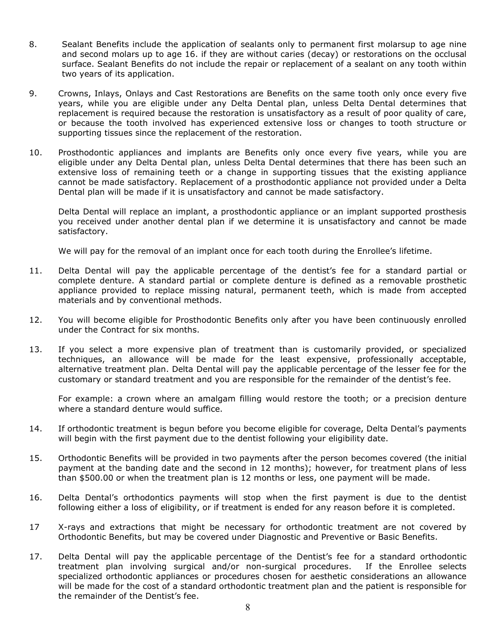- 8. Sealant Benefits include the application of sealants only to permanent first molarsup to age nine and second molars up to age 16. if they are without caries (decay) or restorations on the occlusal surface. Sealant Benefits do not include the repair or replacement of a sealant on any tooth within two years of its application.
- 9. Crowns, Inlays, Onlays and Cast Restorations are Benefits on the same tooth only once every five years, while you are eligible under any Delta Dental plan, unless Delta Dental determines that replacement is required because the restoration is unsatisfactory as a result of poor quality of care, or because the tooth involved has experienced extensive loss or changes to tooth structure or supporting tissues since the replacement of the restoration.
- 10. Prosthodontic appliances and implants are Benefits only once every five years, while you are eligible under any Delta Dental plan, unless Delta Dental determines that there has been such an extensive loss of remaining teeth or a change in supporting tissues that the existing appliance cannot be made satisfactory. Replacement of a prosthodontic appliance not provided under a Delta Dental plan will be made if it is unsatisfactory and cannot be made satisfactory.

Delta Dental will replace an implant, a prosthodontic appliance or an implant supported prosthesis you received under another dental plan if we determine it is unsatisfactory and cannot be made satisfactory.

We will pay for the removal of an implant once for each tooth during the Enrollee's lifetime.

- 11. Delta Dental will pay the applicable percentage of the dentist's fee for a standard partial or complete denture. A standard partial or complete denture is defined as a removable prosthetic appliance provided to replace missing natural, permanent teeth, which is made from accepted materials and by conventional methods.
- 12. You will become eligible for Prosthodontic Benefits only after you have been continuously enrolled under the Contract for six months.
- 13. If you select a more expensive plan of treatment than is customarily provided, or specialized techniques, an allowance will be made for the least expensive, professionally acceptable, alternative treatment plan. Delta Dental will pay the applicable percentage of the lesser fee for the customary or standard treatment and you are responsible for the remainder of the dentist's fee.

For example: a crown where an amalgam filling would restore the tooth; or a precision denture where a standard denture would suffice.

- 14. If orthodontic treatment is begun before you become eligible for coverage, Delta Dental's payments will begin with the first payment due to the dentist following your eligibility date.
- 15. Orthodontic Benefits will be provided in two payments after the person becomes covered (the initial payment at the banding date and the second in 12 months); however, for treatment plans of less than \$500.00 or when the treatment plan is 12 months or less, one payment will be made.
- 16. Delta Dental's orthodontics payments will stop when the first payment is due to the dentist following either a loss of eligibility, or if treatment is ended for any reason before it is completed.
- 17 X-rays and extractions that might be necessary for orthodontic treatment are not covered by Orthodontic Benefits, but may be covered under Diagnostic and Preventive or Basic Benefits.
- 17. Delta Dental will pay the applicable percentage of the Dentist's fee for a standard orthodontic treatment plan involving surgical and/or non-surgical procedures. If the Enrollee selects specialized orthodontic appliances or procedures chosen for aesthetic considerations an allowance will be made for the cost of a standard orthodontic treatment plan and the patient is responsible for the remainder of the Dentist's fee.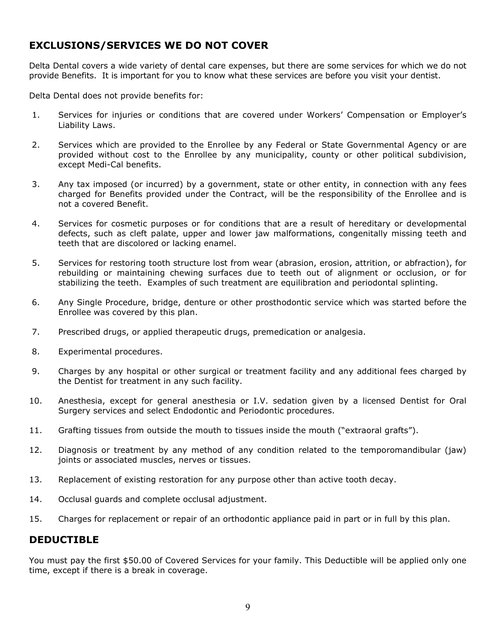# <span id="page-9-0"></span>**EXCLUSIONS/SERVICES WE DO NOT COVER**

Delta Dental covers a wide variety of dental care expenses, but there are some services for which we do not provide Benefits. It is important for you to know what these services are before you visit your dentist.

Delta Dental does not provide benefits for:

- 1. Services for injuries or conditions that are covered under Workers' Compensation or Employer's Liability Laws.
- 2. Services which are provided to the Enrollee by any Federal or State Governmental Agency or are provided without cost to the Enrollee by any municipality, county or other political subdivision, except Medi-Cal benefits.
- 3. Any tax imposed (or incurred) by a government, state or other entity, in connection with any fees charged for Benefits provided under the Contract, will be the responsibility of the Enrollee and is not a covered Benefit.
- 4. Services for cosmetic purposes or for conditions that are a result of hereditary or developmental defects, such as cleft palate, upper and lower jaw malformations, congenitally missing teeth and teeth that are discolored or lacking enamel.
- 5. Services for restoring tooth structure lost from wear (abrasion, erosion, attrition, or abfraction), for rebuilding or maintaining chewing surfaces due to teeth out of alignment or occlusion, or for stabilizing the teeth. Examples of such treatment are equilibration and periodontal splinting.
- 6. Any Single Procedure, bridge, denture or other prosthodontic service which was started before the Enrollee was covered by this plan.
- 7. Prescribed drugs, or applied therapeutic drugs, premedication or analgesia.
- 8. Experimental procedures.
- 9. Charges by any hospital or other surgical or treatment facility and any additional fees charged by the Dentist for treatment in any such facility.
- 10. Anesthesia, except for general anesthesia or I.V. sedation given by a licensed Dentist for Oral Surgery services and select Endodontic and Periodontic procedures.
- 11. Grafting tissues from outside the mouth to tissues inside the mouth ("extraoral grafts").
- 12. Diagnosis or treatment by any method of any condition related to the temporomandibular (jaw) joints or associated muscles, nerves or tissues.
- 13. Replacement of existing restoration for any purpose other than active tooth decay.
- 14. Occlusal guards and complete occlusal adjustment.
- 15. Charges for replacement or repair of an orthodontic appliance paid in part or in full by this plan.

## <span id="page-9-1"></span>**DEDUCTIBLE**

You must pay the first \$50.00 of Covered Services for your family. This Deductible will be applied only one time, except if there is a break in coverage.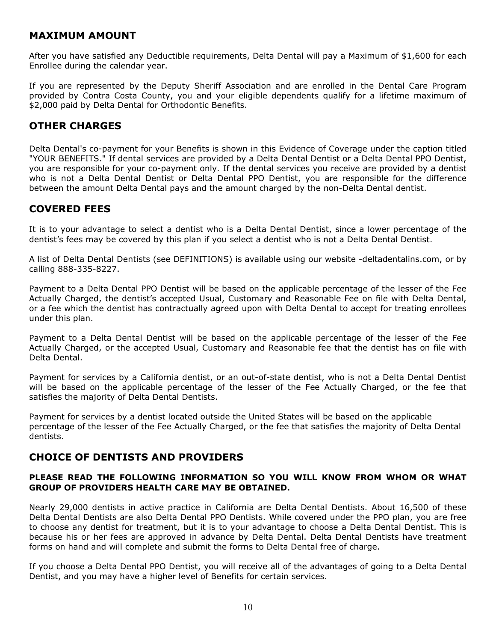## <span id="page-10-0"></span>**MAXIMUM AMOUNT**

After you have satisfied any Deductible requirements, Delta Dental will pay a Maximum of \$1,600 for each Enrollee during the calendar year.

If you are represented by the Deputy Sheriff Association and are enrolled in the Dental Care Program provided by Contra Costa County, you and your eligible dependents qualify for a lifetime maximum of \$2,000 paid by Delta Dental for Orthodontic Benefits.

## <span id="page-10-1"></span>**OTHER CHARGES**

Delta Dental's co-payment for your Benefits is shown in this Evidence of Coverage under the caption titled "YOUR BENEFITS." If dental services are provided by a Delta Dental Dentist or a Delta Dental PPO Dentist, you are responsible for your co-payment only. If the dental services you receive are provided by a dentist who is not a Delta Dental Dentist or Delta Dental PPO Dentist, you are responsible for the difference between the amount Delta Dental pays and the amount charged by the non-Delta Dental dentist.

## <span id="page-10-2"></span>**COVERED FEES**

It is to your advantage to select a dentist who is a Delta Dental Dentist, since a lower percentage of the dentist's fees may be covered by this plan if you select a dentist who is not a Delta Dental Dentist.

A list of Delta Dental Dentists (see DEFINITIONS) is available using our website -deltadentalins.com, or by calling 888-335-8227.

Payment to a Delta Dental PPO Dentist will be based on the applicable percentage of the lesser of the Fee Actually Charged, the dentist's accepted Usual, Customary and Reasonable Fee on file with Delta Dental, or a fee which the dentist has contractually agreed upon with Delta Dental to accept for treating enrollees under this plan.

Payment to a Delta Dental Dentist will be based on the applicable percentage of the lesser of the Fee Actually Charged, or the accepted Usual, Customary and Reasonable fee that the dentist has on file with Delta Dental.

Payment for services by a California dentist, or an out-of-state dentist, who is not a Delta Dental Dentist will be based on the applicable percentage of the lesser of the Fee Actually Charged, or the fee that satisfies the majority of Delta Dental Dentists.

Payment for services by a dentist located outside the United States will be based on the applicable percentage of the lesser of the Fee Actually Charged, or the fee that satisfies the majority of Delta Dental dentists.

## <span id="page-10-3"></span>**CHOICE OF DENTISTS AND PROVIDERS**

## **PLEASE READ THE FOLLOWING INFORMATION SO YOU WILL KNOW FROM WHOM OR WHAT GROUP OF PROVIDERS HEALTH CARE MAY BE OBTAINED.**

Nearly 29,000 dentists in active practice in California are Delta Dental Dentists. About 16,500 of these Delta Dental Dentists are also Delta Dental PPO Dentists. While covered under the PPO plan, you are free to choose any dentist for treatment, but it is to your advantage to choose a Delta Dental Dentist. This is because his or her fees are approved in advance by Delta Dental. Delta Dental Dentists have treatment forms on hand and will complete and submit the forms to Delta Dental free of charge.

If you choose a Delta Dental PPO Dentist, you will receive all of the advantages of going to a Delta Dental Dentist, and you may have a higher level of Benefits for certain services.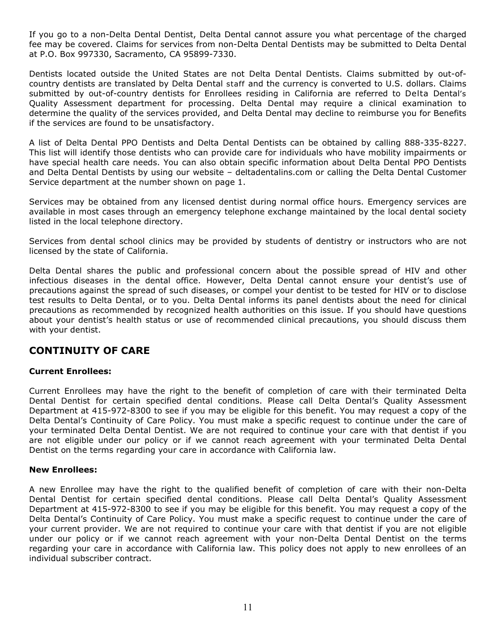If you go to a non-Delta Dental Dentist, Delta Dental cannot assure you what percentage of the charged fee may be covered. Claims for services from non-Delta Dental Dentists may be submitted to Delta Dental at P.O. Box 997330, Sacramento, CA 95899-7330.

Dentists located outside the United States are not Delta Dental Dentists. Claims submitted by out-ofcountry dentists are translated by Delta Dental staff and the currency is converted to U.S. dollars. Claims submitted by out-of-country dentists for Enrollees residing in California are referred to Delta Dental's Quality Assessment department for processing. Delta Dental may require a clinical examination to determine the quality of the services provided, and Delta Dental may decline to reimburse you for Benefits if the services are found to be unsatisfactory.

A list of Delta Dental PPO Dentists and Delta Dental Dentists can be obtained by calling 888-335-8227. This list will identify those dentists who can provide care for individuals who have mobility impairments or have special health care needs. You can also obtain specific information about Delta Dental PPO Dentists and Delta Dental Dentists by using our website – deltadentalins.com or calling the Delta Dental Customer Service department at the number shown on page 1.

Services may be obtained from any licensed dentist during normal office hours. Emergency services are available in most cases through an emergency telephone exchange maintained by the local dental society listed in the local telephone directory.

Services from dental school clinics may be provided by students of dentistry or instructors who are not licensed by the state of California.

Delta Dental shares the public and professional concern about the possible spread of HIV and other infectious diseases in the dental office. However, Delta Dental cannot ensure your dentist's use of precautions against the spread of such diseases, or compel your dentist to be tested for HIV or to disclose test results to Delta Dental, or to you. Delta Dental informs its panel dentists about the need for clinical precautions as recommended by recognized health authorities on this issue. If you should have questions about your dentist's health status or use of recommended clinical precautions, you should discuss them with your dentist.

## <span id="page-11-0"></span>**CONTINUITY OF CARE**

## **Current Enrollees:**

Current Enrollees may have the right to the benefit of completion of care with their terminated Delta Dental Dentist for certain specified dental conditions. Please call Delta Dental's Quality Assessment Department at 415-972-8300 to see if you may be eligible for this benefit. You may request a copy of the Delta Dental's Continuity of Care Policy. You must make a specific request to continue under the care of your terminated Delta Dental Dentist. We are not required to continue your care with that dentist if you are not eligible under our policy or if we cannot reach agreement with your terminated Delta Dental Dentist on the terms regarding your care in accordance with California law.

#### **New Enrollees:**

A new Enrollee may have the right to the qualified benefit of completion of care with their non-Delta Dental Dentist for certain specified dental conditions. Please call Delta Dental's Quality Assessment Department at 415-972-8300 to see if you may be eligible for this benefit. You may request a copy of the Delta Dental's Continuity of Care Policy. You must make a specific request to continue under the care of your current provider. We are not required to continue your care with that dentist if you are not eligible under our policy or if we cannot reach agreement with your non-Delta Dental Dentist on the terms regarding your care in accordance with California law. This policy does not apply to new enrollees of an individual subscriber contract.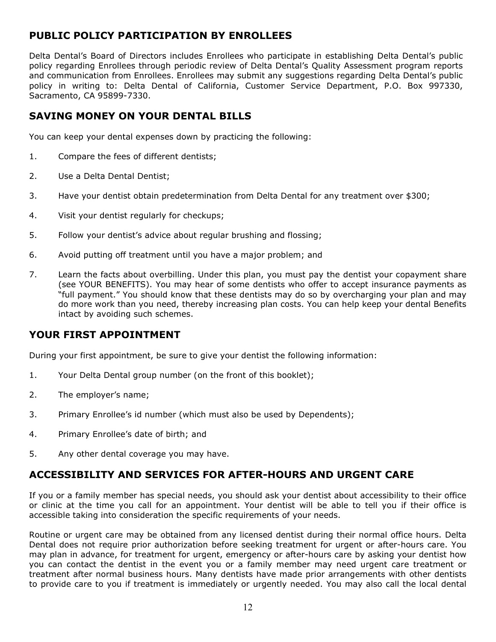# <span id="page-12-0"></span>**PUBLIC POLICY PARTICIPATION BY ENROLLEES**

Delta Dental's Board of Directors includes Enrollees who participate in establishing Delta Dental's public policy regarding Enrollees through periodic review of Delta Dental's Quality Assessment program reports and communication from Enrollees. Enrollees may submit any suggestions regarding Delta Dental's public policy in writing to: Delta Dental of California, Customer Service Department, P.O. Box 997330, Sacramento, CA 95899-7330.

# <span id="page-12-1"></span>**SAVING MONEY ON YOUR DENTAL BILLS**

You can keep your dental expenses down by practicing the following:

- 1. Compare the fees of different dentists;
- 2. Use a Delta Dental Dentist;
- 3. Have your dentist obtain predetermination from Delta Dental for any treatment over \$300;
- 4. Visit your dentist regularly for checkups;
- 5. Follow your dentist's advice about regular brushing and flossing;
- 6. Avoid putting off treatment until you have a major problem; and
- 7. Learn the facts about overbilling. Under this plan, you must pay the dentist your copayment share (see YOUR BENEFITS). You may hear of some dentists who offer to accept insurance payments as "full payment." You should know that these dentists may do so by overcharging your plan and may do more work than you need, thereby increasing plan costs. You can help keep your dental Benefits intact by avoiding such schemes.

## <span id="page-12-2"></span>**YOUR FIRST APPOINTMENT**

During your first appointment, be sure to give your dentist the following information:

- 1. Your Delta Dental group number (on the front of this booklet);
- 2. The employer's name;
- 3. Primary Enrollee's id number (which must also be used by Dependents);
- 4. Primary Enrollee's date of birth; and
- 5. Any other dental coverage you may have.

## <span id="page-12-3"></span>**ACCESSIBILITY AND SERVICES FOR AFTER-HOURS AND URGENT CARE**

If you or a family member has special needs, you should ask your dentist about accessibility to their office or clinic at the time you call for an appointment. Your dentist will be able to tell you if their office is accessible taking into consideration the specific requirements of your needs.

Routine or urgent care may be obtained from any licensed dentist during their normal office hours. Delta Dental does not require prior authorization before seeking treatment for urgent or after-hours care. You may plan in advance, for treatment for urgent, emergency or after-hours care by asking your dentist how you can contact the dentist in the event you or a family member may need urgent care treatment or treatment after normal business hours. Many dentists have made prior arrangements with other dentists to provide care to you if treatment is immediately or urgently needed. You may also call the local dental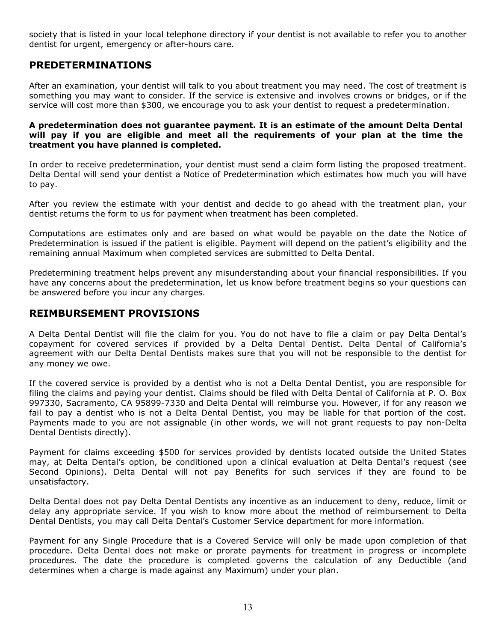society that is listed in your local telephone directory if your dentist is not available to refer you to another dentist for urgent, emergency or after-hours care.

## <span id="page-13-0"></span>**PREDETERMINATIONS**

After an examination, your dentist will talk to you about treatment you may need. The cost of treatment is something you may want to consider. If the service is extensive and involves crowns or bridges, or if the service will cost more than \$300, we encourage you to ask your dentist to request a predetermination.

#### **A predetermination does not guarantee payment. It is an estimate of the amount Delta Dental will pay if you are eligible and meet all the requirements of your plan at the time the treatment you have planned is completed.**

In order to receive predetermination, your dentist must send a claim form listing the proposed treatment. Delta Dental will send your dentist a Notice of Predetermination which estimates how much you will have to pay.

After you review the estimate with your dentist and decide to go ahead with the treatment plan, your dentist returns the form to us for payment when treatment has been completed.

Computations are estimates only and are based on what would be payable on the date the Notice of Predetermination is issued if the patient is eligible. Payment will depend on the patient's eligibility and the remaining annual Maximum when completed services are submitted to Delta Dental.

Predetermining treatment helps prevent any misunderstanding about your financial responsibilities. If you have any concerns about the predetermination, let us know before treatment begins so your questions can be answered before you incur any charges.

## <span id="page-13-1"></span>**REIMBURSEMENT PROVISIONS**

A Delta Dental Dentist will file the claim for you. You do not have to file a claim or pay Delta Dental's copayment for covered services if provided by a Delta Dental Dentist. Delta Dental of California's agreement with our Delta Dental Dentists makes sure that you will not be responsible to the dentist for any money we owe.

If the covered service is provided by a dentist who is not a Delta Dental Dentist, you are responsible for filing the claims and paying your dentist. Claims should be filed with Delta Dental of California at P. O. Box 997330, Sacramento, CA 95899-7330 and Delta Dental will reimburse you. However, if for any reason we fail to pay a dentist who is not a Delta Dental Dentist, you may be liable for that portion of the cost. Payments made to you are not assignable (in other words, we will not grant requests to pay non-Delta Dental Dentists directly).

Payment for claims exceeding \$500 for services provided by dentists located outside the United States may, at Delta Dental's option, be conditioned upon a clinical evaluation at Delta Dental's request (see Second Opinions). Delta Dental will not pay Benefits for such services if they are found to be unsatisfactory.

Delta Dental does not pay Delta Dental Dentists any incentive as an inducement to deny, reduce, limit or delay any appropriate service. If you wish to know more about the method of reimbursement to Delta Dental Dentists, you may call Delta Dental's Customer Service department for more information.

Payment for any Single Procedure that is a Covered Service will only be made upon completion of that procedure. Delta Dental does not make or prorate payments for treatment in progress or incomplete procedures. The date the procedure is completed governs the calculation of any Deductible (and determines when a charge is made against any Maximum) under your plan.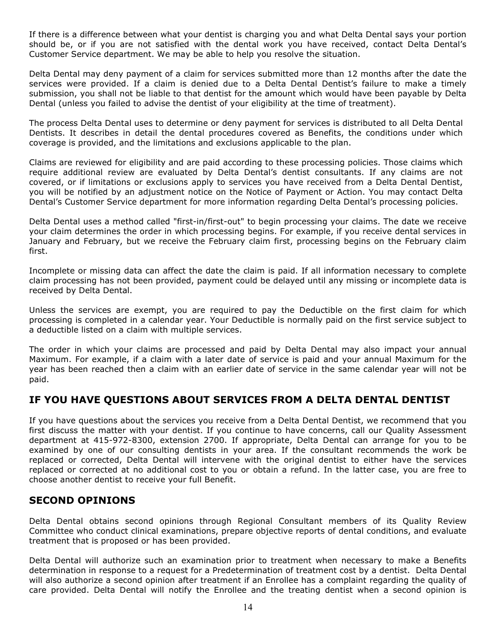If there is a difference between what your dentist is charging you and what Delta Dental says your portion should be, or if you are not satisfied with the dental work you have received, contact Delta Dental's Customer Service department. We may be able to help you resolve the situation.

Delta Dental may deny payment of a claim for services submitted more than 12 months after the date the services were provided. If a claim is denied due to a Delta Dental Dentist's failure to make a timely submission, you shall not be liable to that dentist for the amount which would have been payable by Delta Dental (unless you failed to advise the dentist of your eligibility at the time of treatment).

The process Delta Dental uses to determine or deny payment for services is distributed to all Delta Dental Dentists. It describes in detail the dental procedures covered as Benefits, the conditions under which coverage is provided, and the limitations and exclusions applicable to the plan.

Claims are reviewed for eligibility and are paid according to these processing policies. Those claims which require additional review are evaluated by Delta Dental's dentist consultants. If any claims are not covered, or if limitations or exclusions apply to services you have received from a Delta Dental Dentist, you will be notified by an adjustment notice on the Notice of Payment or Action. You may contact Delta Dental's Customer Service department for more information regarding Delta Dental's processing policies.

Delta Dental uses a method called "first-in/first-out" to begin processing your claims. The date we receive your claim determines the order in which processing begins. For example, if you receive dental services in January and February, but we receive the February claim first, processing begins on the February claim first.

Incomplete or missing data can affect the date the claim is paid. If all information necessary to complete claim processing has not been provided, payment could be delayed until any missing or incomplete data is received by Delta Dental.

Unless the services are exempt, you are required to pay the Deductible on the first claim for which processing is completed in a calendar year. Your Deductible is normally paid on the first service subject to a deductible listed on a claim with multiple services.

The order in which your claims are processed and paid by Delta Dental may also impact your annual Maximum. For example, if a claim with a later date of service is paid and your annual Maximum for the year has been reached then a claim with an earlier date of service in the same calendar year will not be paid.

# <span id="page-14-0"></span>**IF YOU HAVE QUESTIONS ABOUT SERVICES FROM A DELTA DENTAL DENTIST**

If you have questions about the services you receive from a Delta Dental Dentist, we recommend that you first discuss the matter with your dentist. If you continue to have concerns, call our Quality Assessment department at 415-972-8300, extension 2700. If appropriate, Delta Dental can arrange for you to be examined by one of our consulting dentists in your area. If the consultant recommends the work be replaced or corrected, Delta Dental will intervene with the original dentist to either have the services replaced or corrected at no additional cost to you or obtain a refund. In the latter case, you are free to choose another dentist to receive your full Benefit.

## <span id="page-14-1"></span>**SECOND OPINIONS**

Delta Dental obtains second opinions through Regional Consultant members of its Quality Review Committee who conduct clinical examinations, prepare objective reports of dental conditions, and evaluate treatment that is proposed or has been provided.

Delta Dental will authorize such an examination prior to treatment when necessary to make a Benefits determination in response to a request for a Predetermination of treatment cost by a dentist. Delta Dental will also authorize a second opinion after treatment if an Enrollee has a complaint regarding the quality of care provided. Delta Dental will notify the Enrollee and the treating dentist when a second opinion is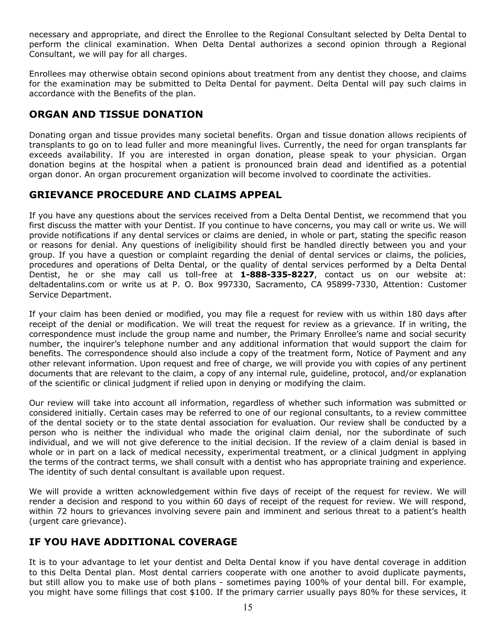necessary and appropriate, and direct the Enrollee to the Regional Consultant selected by Delta Dental to perform the clinical examination. When Delta Dental authorizes a second opinion through a Regional Consultant, we will pay for all charges.

Enrollees may otherwise obtain second opinions about treatment from any dentist they choose, and claims for the examination may be submitted to Delta Dental for payment. Delta Dental will pay such claims in accordance with the Benefits of the plan.

# <span id="page-15-0"></span>**ORGAN AND TISSUE DONATION**

Donating organ and tissue provides many societal benefits. Organ and tissue donation allows recipients of transplants to go on to lead fuller and more meaningful lives. Currently, the need for organ transplants far exceeds availability. If you are interested in organ donation, please speak to your physician. Organ donation begins at the hospital when a patient is pronounced brain dead and identified as a potential organ donor. An organ procurement organization will become involved to coordinate the activities.

# <span id="page-15-1"></span>**GRIEVANCE PROCEDURE AND CLAIMS APPEAL**

If you have any questions about the services received from a Delta Dental Dentist, we recommend that you first discuss the matter with your Dentist. If you continue to have concerns, you may call or write us. We will provide notifications if any dental services or claims are denied, in whole or part, stating the specific reason or reasons for denial. Any questions of ineligibility should first be handled directly between you and your group. If you have a question or complaint regarding the denial of dental services or claims, the policies, procedures and operations of Delta Dental, or the quality of dental services performed by a Delta Dental Dentist, he or she may call us toll-free at **1-888-335-8227**, contact us on our website at: [deltadentalins.com](http://www.deltadentalins.com/) or write us at P. O. Box 997330, Sacramento, CA 95899-7330, Attention: Customer Service Department.

If your claim has been denied or modified, you may file a request for review with us within 180 days after receipt of the denial or modification. We will treat the request for review as a grievance. If in writing, the correspondence must include the group name and number, the Primary Enrollee's name and social security number, the inquirer's telephone number and any additional information that would support the claim for benefits. The correspondence should also include a copy of the treatment form, Notice of Payment and any other relevant information. Upon request and free of charge, we will provide you with copies of any pertinent documents that are relevant to the claim, a copy of any internal rule, guideline, protocol, and/or explanation of the scientific or clinical judgment if relied upon in denying or modifying the claim.

Our review will take into account all information, regardless of whether such information was submitted or considered initially. Certain cases may be referred to one of our regional consultants, to a review committee of the dental society or to the state dental association for evaluation. Our review shall be conducted by a person who is neither the individual who made the original claim denial, nor the subordinate of such individual, and we will not give deference to the initial decision. If the review of a claim denial is based in whole or in part on a lack of medical necessity, experimental treatment, or a clinical judgment in applying the terms of the contract terms, we shall consult with a dentist who has appropriate training and experience. The identity of such dental consultant is available upon request.

We will provide a written acknowledgement within five days of receipt of the request for review. We will render a decision and respond to you within 60 days of receipt of the request for review. We will respond, within 72 hours to grievances involving severe pain and imminent and serious threat to a patient's health (urgent care grievance).

# <span id="page-15-2"></span>**IF YOU HAVE ADDITIONAL COVERAGE**

It is to your advantage to let your dentist and Delta Dental know if you have dental coverage in addition to this Delta Dental plan. Most dental carriers cooperate with one another to avoid duplicate payments, but still allow you to make use of both plans - sometimes paying 100% of your dental bill. For example, you might have some fillings that cost \$100. If the primary carrier usually pays 80% for these services, it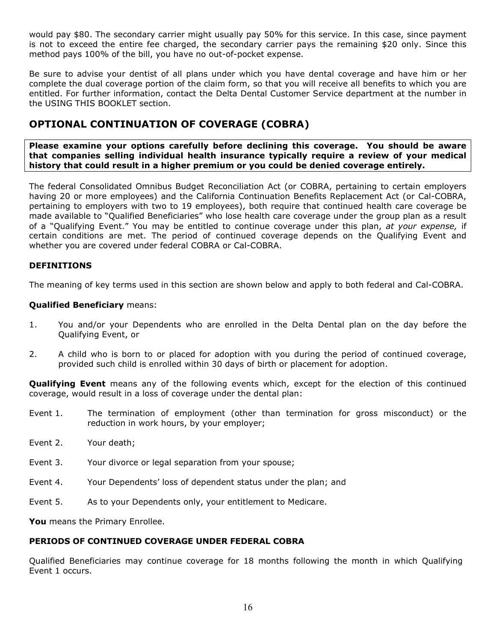would pay \$80. The secondary carrier might usually pay 50% for this service. In this case, since payment is not to exceed the entire fee charged, the secondary carrier pays the remaining \$20 only. Since this method pays 100% of the bill, you have no out-of-pocket expense.

Be sure to advise your dentist of all plans under which you have dental coverage and have him or her complete the dual coverage portion of the claim form, so that you will receive all benefits to which you are entitled. For further information, contact the Delta Dental Customer Service department at the number in the USING THIS BOOKLET section.

# <span id="page-16-0"></span>**OPTIONAL CONTINUATION OF COVERAGE (COBRA)**

**Please examine your options carefully before declining this coverage. You should be aware that companies selling individual health insurance typically require a review of your medical history that could result in a higher premium or you could be denied coverage entirely.**

The federal Consolidated Omnibus Budget Reconciliation Act (or COBRA, pertaining to certain employers having 20 or more employees) and the California Continuation Benefits Replacement Act (or Cal-COBRA, pertaining to employers with two to 19 employees), both require that continued health care coverage be made available to "Qualified Beneficiaries" who lose health care coverage under the group plan as a result of a "Qualifying Event." You may be entitled to continue coverage under this plan, *at your expense,* if certain conditions are met. The period of continued coverage depends on the Qualifying Event and whether you are covered under federal COBRA or Cal-COBRA.

## **DEFINITIONS**

The meaning of key terms used in this section are shown below and apply to both federal and Cal-COBRA.

## **Qualified Beneficiary** means:

- 1. You and/or your Dependents who are enrolled in the Delta Dental plan on the day before the Qualifying Event, or
- 2. A child who is born to or placed for adoption with you during the period of continued coverage, provided such child is enrolled within 30 days of birth or placement for adoption.

**Qualifying Event** means any of the following events which, except for the election of this continued coverage, would result in a loss of coverage under the dental plan:

- Event 1. The termination of employment (other than termination for gross misconduct) or the reduction in work hours, by your employer;
- Event 2. Your death;
- Event 3. Your divorce or legal separation from your spouse;
- Event 4. Your Dependents' loss of dependent status under the plan; and
- Event 5. As to your Dependents only, your entitlement to Medicare.

**You** means the Primary Enrollee.

#### **PERIODS OF CONTINUED COVERAGE UNDER FEDERAL COBRA**

Qualified Beneficiaries may continue coverage for 18 months following the month in which Qualifying Event 1 occurs.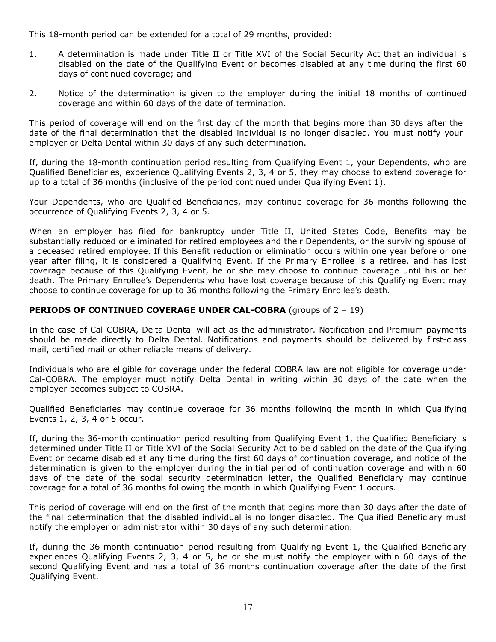This 18-month period can be extended for a total of 29 months, provided:

- 1. A determination is made under Title II or Title XVI of the Social Security Act that an individual is disabled on the date of the Qualifying Event or becomes disabled at any time during the first 60 days of continued coverage; and
- 2. Notice of the determination is given to the employer during the initial 18 months of continued coverage and within 60 days of the date of termination.

This period of coverage will end on the first day of the month that begins more than 30 days after the date of the final determination that the disabled individual is no longer disabled. You must notify your employer or Delta Dental within 30 days of any such determination.

If, during the 18-month continuation period resulting from Qualifying Event 1, your Dependents, who are Qualified Beneficiaries, experience Qualifying Events 2, 3, 4 or 5, they may choose to extend coverage for up to a total of 36 months (inclusive of the period continued under Qualifying Event 1).

Your Dependents, who are Qualified Beneficiaries, may continue coverage for 36 months following the occurrence of Qualifying Events 2, 3, 4 or 5.

When an employer has filed for bankruptcy under Title II, United States Code, Benefits may be substantially reduced or eliminated for retired employees and their Dependents, or the surviving spouse of a deceased retired employee. If this Benefit reduction or elimination occurs within one year before or one year after filing, it is considered a Qualifying Event. If the Primary Enrollee is a retiree, and has lost coverage because of this Qualifying Event, he or she may choose to continue coverage until his or her death. The Primary Enrollee's Dependents who have lost coverage because of this Qualifying Event may choose to continue coverage for up to 36 months following the Primary Enrollee's death.

## **PERIODS OF CONTINUED COVERAGE UNDER CAL-COBRA** (groups of 2 – 19)

In the case of Cal-COBRA, Delta Dental will act as the administrator. Notification and Premium payments should be made directly to Delta Dental. Notifications and payments should be delivered by first-class mail, certified mail or other reliable means of delivery.

Individuals who are eligible for coverage under the federal COBRA law are not eligible for coverage under Cal-COBRA. The employer must notify Delta Dental in writing within 30 days of the date when the employer becomes subject to COBRA.

Qualified Beneficiaries may continue coverage for 36 months following the month in which Qualifying Events 1, 2, 3, 4 or 5 occur.

If, during the 36-month continuation period resulting from Qualifying Event 1, the Qualified Beneficiary is determined under Title II or Title XVI of the Social Security Act to be disabled on the date of the Qualifying Event or became disabled at any time during the first 60 days of continuation coverage, and notice of the determination is given to the employer during the initial period of continuation coverage and within 60 days of the date of the social security determination letter, the Qualified Beneficiary may continue coverage for a total of 36 months following the month in which Qualifying Event 1 occurs.

This period of coverage will end on the first of the month that begins more than 30 days after the date of the final determination that the disabled individual is no longer disabled. The Qualified Beneficiary must notify the employer or administrator within 30 days of any such determination.

If, during the 36-month continuation period resulting from Qualifying Event 1, the Qualified Beneficiary experiences Qualifying Events 2, 3, 4 or 5, he or she must notify the employer within 60 days of the second Qualifying Event and has a total of 36 months continuation coverage after the date of the first Qualifying Event.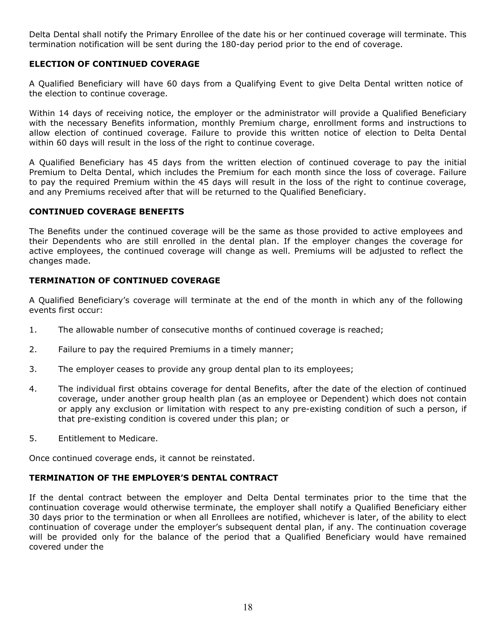Delta Dental shall notify the Primary Enrollee of the date his or her continued coverage will terminate. This termination notification will be sent during the 180-day period prior to the end of coverage.

## **ELECTION OF CONTINUED COVERAGE**

A Qualified Beneficiary will have 60 days from a Qualifying Event to give Delta Dental written notice of the election to continue coverage.

Within 14 days of receiving notice, the employer or the administrator will provide a Qualified Beneficiary with the necessary Benefits information, monthly Premium charge, enrollment forms and instructions to allow election of continued coverage. Failure to provide this written notice of election to Delta Dental within 60 days will result in the loss of the right to continue coverage.

A Qualified Beneficiary has 45 days from the written election of continued coverage to pay the initial Premium to Delta Dental, which includes the Premium for each month since the loss of coverage. Failure to pay the required Premium within the 45 days will result in the loss of the right to continue coverage, and any Premiums received after that will be returned to the Qualified Beneficiary.

## **CONTINUED COVERAGE BENEFITS**

The Benefits under the continued coverage will be the same as those provided to active employees and their Dependents who are still enrolled in the dental plan. If the employer changes the coverage for active employees, the continued coverage will change as well. Premiums will be adjusted to reflect the changes made.

## **TERMINATION OF CONTINUED COVERAGE**

A Qualified Beneficiary's coverage will terminate at the end of the month in which any of the following events first occur:

- 1. The allowable number of consecutive months of continued coverage is reached;
- 2. Failure to pay the required Premiums in a timely manner;
- 3. The employer ceases to provide any group dental plan to its employees;
- 4. The individual first obtains coverage for dental Benefits, after the date of the election of continued coverage, under another group health plan (as an employee or Dependent) which does not contain or apply any exclusion or limitation with respect to any pre-existing condition of such a person, if that pre-existing condition is covered under this plan; or
- 5. Entitlement to Medicare.

Once continued coverage ends, it cannot be reinstated.

## **TERMINATION OF THE EMPLOYER'S DENTAL CONTRACT**

If the dental contract between the employer and Delta Dental terminates prior to the time that the continuation coverage would otherwise terminate, the employer shall notify a Qualified Beneficiary either 30 days prior to the termination or when all Enrollees are notified, whichever is later, of the ability to elect continuation of coverage under the employer's subsequent dental plan, if any. The continuation coverage will be provided only for the balance of the period that a Qualified Beneficiary would have remained covered under the